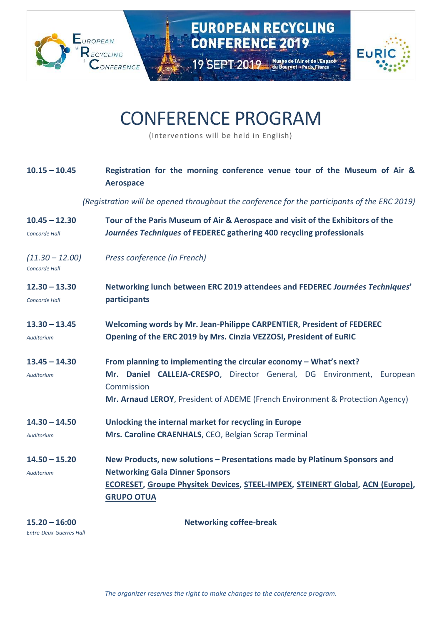

## CONFERENCE PROGRAM

(Interventions will be held in English)

| $10.15 - 10.45$                    | Registration for the morning conference venue tour of the Museum of Air &<br><b>Aerospace</b>                                                                                                                                             |
|------------------------------------|-------------------------------------------------------------------------------------------------------------------------------------------------------------------------------------------------------------------------------------------|
|                                    | (Registration will be opened throughout the conference for the participants of the ERC 2019)                                                                                                                                              |
| $10.45 - 12.30$<br>Concorde Hall   | Tour of the Paris Museum of Air & Aerospace and visit of the Exhibitors of the<br>Journées Techniques of FEDEREC gathering 400 recycling professionals                                                                                    |
| $(11.30 - 12.00)$<br>Concorde Hall | Press conference (in French)                                                                                                                                                                                                              |
| $12.30 - 13.30$<br>Concorde Hall   | Networking lunch between ERC 2019 attendees and FEDEREC Journées Techniques'<br>participants                                                                                                                                              |
| $13.30 - 13.45$<br>Auditorium      | Welcoming words by Mr. Jean-Philippe CARPENTIER, President of FEDEREC<br>Opening of the ERC 2019 by Mrs. Cinzia VEZZOSI, President of EuRIC                                                                                               |
| $13.45 - 14.30$<br>Auditorium      | From planning to implementing the circular economy - What's next?<br>Mr. Daniel CALLEJA-CRESPO, Director General, DG Environment, European<br>Commission<br>Mr. Arnaud LEROY, President of ADEME (French Environment & Protection Agency) |
| $14.30 - 14.50$<br>Auditorium      | Unlocking the internal market for recycling in Europe<br>Mrs. Caroline CRAENHALS, CEO, Belgian Scrap Terminal                                                                                                                             |
| $14.50 - 15.20$<br>Auditorium      | New Products, new solutions - Presentations made by Platinum Sponsors and<br><b>Networking Gala Dinner Sponsors</b><br>ECORESET, Groupe Physitek Devices, STEEL-IMPEX, STEINERT Global, ACN (Europe),<br><b>GRUPO OTUA</b>                |

**15.20 – 16:00 Networking coffee-break**

*Entre-Deux-Guerres Hall*